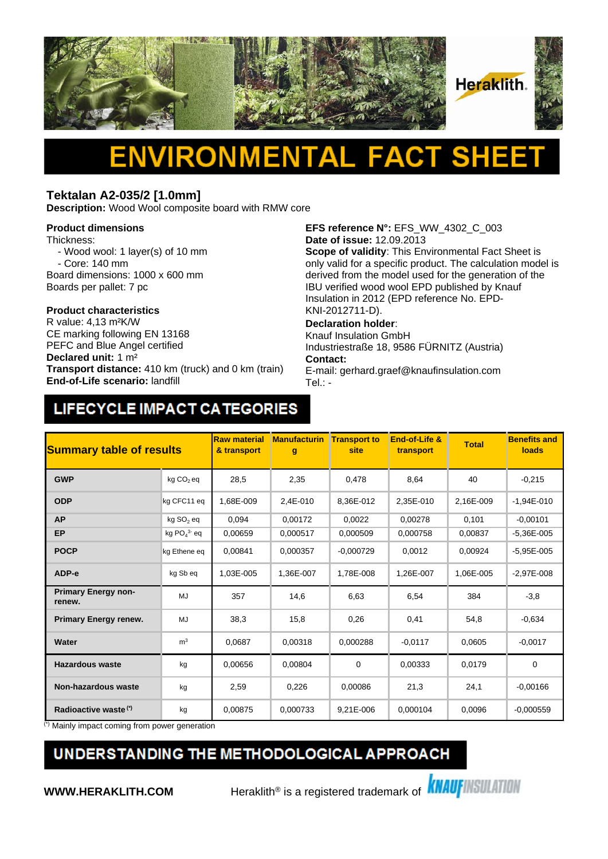

### **Tektalan A2-035/2 [1.0mm]**

**Description:** Wood Wool composite board with RMW core

#### **Product dimensions**

Thickness:

- Wood wool: 1 layer(s) of 10 mm
- Core: 140 mm
- Board dimensions: 1000 x 600 mm Boards per pallet: 7 pc

# **Product characteristics**

CE marking following EN 13168 PEFC and Blue Angel certified **Declared unit:** 1 m² **Transport distance:** 410 km (truck) and 0 km (train) **End-of-Life scenario:** landfill

**EFS reference N°:** EFS\_WW\_4302\_C\_003 **Date of issue:** 12.09.2013

**Scope of validity**: This Environmental Fact Sheet is only valid for a specific product. The calculation model is derived from the model used for the generation of the IBU verified wood wool EPD published by Knauf Insulation in 2012 (EPD reference No. EPD-KNI-2012711-D).

### **Declaration holder**:

Knauf Insulation GmbH Industriestraße 18, 9586 FÜRNITZ (Austria) **Contact:** 

E-mail: gerhard.graef@knaufinsulation.com Tel.: -

## LIFECYCLE IMPACT CATEGORIES

| <b>Summary table of results</b>      |                       | <b>Raw material</b><br><b>Manufacturin</b><br><b>Transport to</b><br>& transport<br>site<br>transport<br>g |           | End-of-Life & | <b>Total</b> | <b>Benefits and</b><br>loads |                |
|--------------------------------------|-----------------------|------------------------------------------------------------------------------------------------------------|-----------|---------------|--------------|------------------------------|----------------|
| <b>GWP</b>                           | kg CO <sub>2</sub> eq | 28,5                                                                                                       | 2,35      | 0,478         | 8,64         | 40                           | $-0,215$       |
| <b>ODP</b>                           | kg CFC11 eq           | 1.68E-009                                                                                                  | 2,4E-010  | 8,36E-012     | 2,35E-010    | 2,16E-009                    | $-1,94E-010$   |
| <b>AP</b>                            | kg SO <sub>2</sub> eq | 0,094                                                                                                      | 0,00172   | 0,0022        | 0,00278      | 0,101                        | $-0,00101$     |
| <b>EP</b>                            | kg $PO43$ eq          | 0,00659                                                                                                    | 0,000517  | 0,000509      | 0,000758     | 0,00837                      | $-5,36E-005$   |
| <b>POCP</b>                          | kg Ethene eg          | 0.00841                                                                                                    | 0.000357  | $-0,000729$   | 0.0012       | 0.00924                      | $-5.95E - 005$ |
| ADP-e                                | kg Sb eq              | 1,03E-005                                                                                                  | 1,36E-007 | 1,78E-008     | 1,26E-007    | 1,06E-005                    | $-2,97E-008$   |
| <b>Primary Energy non-</b><br>renew. | MJ                    | 357                                                                                                        | 14,6      | 6,63          | 6,54         | 384                          | $-3,8$         |
| <b>Primary Energy renew.</b>         | MJ                    | 38,3                                                                                                       | 15,8      | 0,26          | 0,41         | 54,8                         | $-0.634$       |
| Water                                | m <sup>3</sup>        | 0,0687                                                                                                     | 0,00318   | 0,000288      | $-0.0117$    | 0,0605                       | $-0.0017$      |
| <b>Hazardous waste</b>               | kg                    | 0,00656                                                                                                    | 0,00804   | 0             | 0,00333      | 0,0179                       | $\mathbf 0$    |
| Non-hazardous waste                  | kg                    | 2,59                                                                                                       | 0,226     | 0,00086       | 21,3         | 24,1                         | $-0,00166$     |
| Radioactive waste <sup>(*)</sup>     | kg                    | 0,00875                                                                                                    | 0.000733  | 9,21E-006     | 0,000104     | 0,0096                       | $-0,000559$    |

(\*) Mainly impact coming from power generation

## UNDERSTANDING THE METHODOLOGICAL APPROACH

**WWW.HERAKLITH.COM** Heraklith<sup>®</sup> is a registered trademark of **KNAUFINSULATION**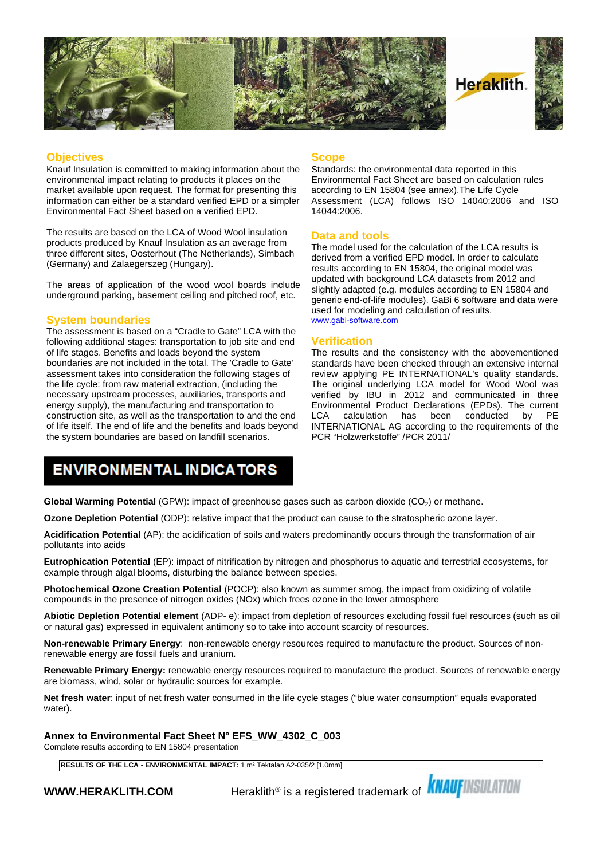

#### **Objectives**

Knauf Insulation is committed to making information about the environmental impact relating to products it places on the market available upon request. The format for presenting this information can either be a standard verified EPD or a simpler Environmental Fact Sheet based on a verified EPD.

The results are based on the LCA of Wood Wool insulation products produced by Knauf Insulation as an average from three different sites, Oosterhout (The Netherlands), Simbach (Germany) and Zalaegerszeg (Hungary).

The areas of application of the wood wool boards include underground parking, basement ceiling and pitched roof, etc.

#### **System boundaries**

The assessment is based on a "Cradle to Gate" LCA with the following additional stages: transportation to job site and end of life stages. Benefits and loads beyond the system boundaries are not included in the total. The 'Cradle to Gate' assessment takes into consideration the following stages of the life cycle: from raw material extraction, (including the necessary upstream processes, auxiliaries, transports and energy supply), the manufacturing and transportation to construction site, as well as the transportation to and the end LCA of life itself. The end of life and the benefits and loads beyond the system boundaries are based on landfill scenarios.

#### **Scope**

Standards: the environmental data reported in this Environmental Fact Sheet are based on calculation rules according to EN 15804 (see annex).The Life Cycle Assessment (LCA) follows ISO 14040:2006 and ISO 14044:2006.

#### **Data and tools**

The model used for the calculation of the LCA results is derived from a verified EPD model. In order to calculate results according to EN 15804, the original model was updated with background LCA datasets from 2012 and slightly adapted (e.g. modules according to EN 15804 and generic end-of-life modules). GaBi 6 software and data were used for modeling and calculation of results. [www.gabi-software.com](http://www.gabi-software.com)

#### **Verification**

The results and the consistency with the abovementioned standards have been checked through an extensive internal review applying PE INTERNATIONAL's quality standards. The original underlying LCA model for Wood Wool was verified by IBU in 2012 and communicated in three Environmental Product Declarations (EPDs). The current calculation has been conducted INTERNATIONAL AG according to the requirements of the PCR "Holzwerkstoffe" /PCR 2011/

### **ENVIRONMENTAL INDICATORS**

**Global Warming Potential** (GPW): impact of greenhouse gases such as carbon dioxide (CO<sub>2</sub>) or methane.

**Ozone Depletion Potential** (ODP): relative impact that the product can cause to the stratospheric ozone layer.

**Acidification Potential** (AP): the acidification of soils and waters predominantly occurs through the transformation of air pollutants into acids

**Eutrophication Potential** (EP): impact of nitrification by nitrogen and phosphorus to aquatic and terrestrial ecosystems, for example through algal blooms, disturbing the balance between species.

**Photochemical Ozone Creation Potential** (POCP): also known as summer smog, the impact from oxidizing of volatile compounds in the presence of nitrogen oxides (NOx) which frees ozone in the lower atmosphere

**Abiotic Depletion Potential element** (ADP- e): impact from depletion of resources excluding fossil fuel resources (such as oil or natural gas) expressed in equivalent antimony so to take into account scarcity of resources.

**Non-renewable Primary Energy**: non-renewable energy resources required to manufacture the product. Sources of nonrenewable energy are fossil fuels and uranium**.**

**Renewable Primary Energy:** renewable energy resources required to manufacture the product. Sources of renewable energy are biomass, wind, solar or hydraulic sources for example.

**Net fresh water**: input of net fresh water consumed in the life cycle stages ("blue water consumption" equals evaporated water).

**Annex to Environmental Fact Sheet N° EFS\_WW\_4302\_C\_003**

Complete results according to EN 15804 presentation

**RESULTS OF THE LCA - ENVIRONMENTAL IMPACT:** 1 m² Tektalan A2-035/2 [1.0mm]

**WWW.HERAKLITH.COM** Heraklith® is a registered trademark of **KNAUFINSULATION**